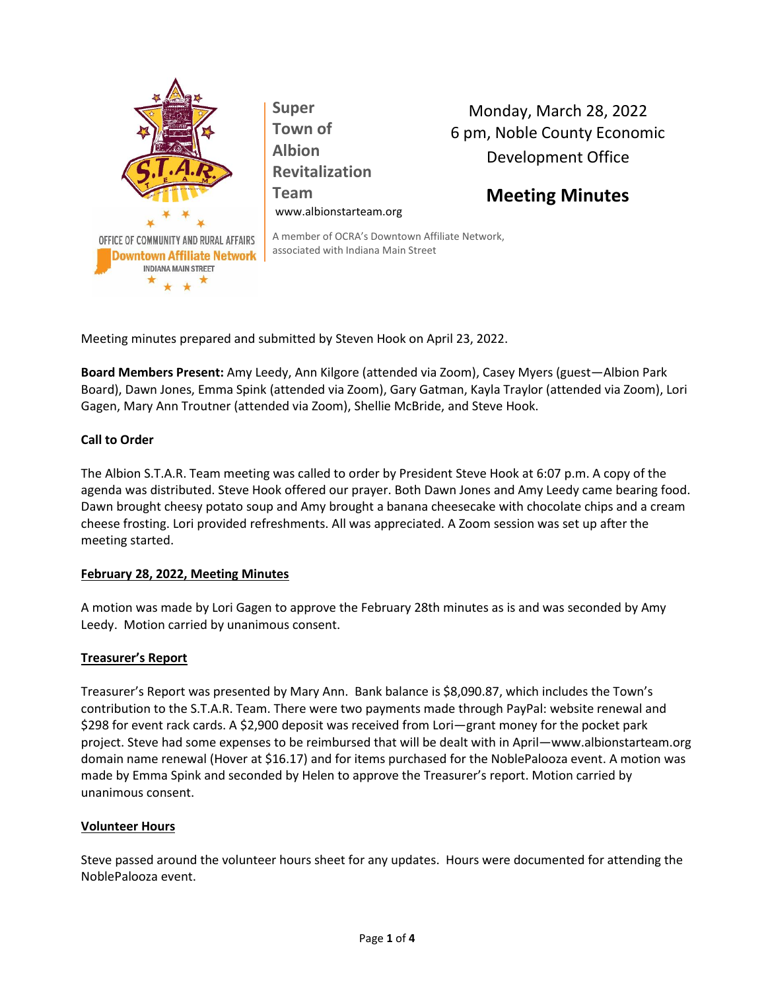

**Super Town of Albion Revitalization Team** www.albionstarteam.org

Monday, March 28, 2022 6 pm, Noble County Economic Development Office

# **Meeting Minutes**

A member of OCRA's Downtown Affiliate Network, associated with Indiana Main Street

Meeting minutes prepared and submitted by Steven Hook on April 23, 2022.

**Board Members Present:** Amy Leedy, Ann Kilgore (attended via Zoom), Casey Myers (guest—Albion Park Board), Dawn Jones, Emma Spink (attended via Zoom), Gary Gatman, Kayla Traylor (attended via Zoom), Lori Gagen, Mary Ann Troutner (attended via Zoom), Shellie McBride, and Steve Hook.

# **Call to Order**

The Albion S.T.A.R. Team meeting was called to order by President Steve Hook at 6:07 p.m. A copy of the agenda was distributed. Steve Hook offered our prayer. Both Dawn Jones and Amy Leedy came bearing food. Dawn brought cheesy potato soup and Amy brought a banana cheesecake with chocolate chips and a cream cheese frosting. Lori provided refreshments. All was appreciated. A Zoom session was set up after the meeting started.

# **February 28, 2022, Meeting Minutes**

A motion was made by Lori Gagen to approve the February 28th minutes as is and was seconded by Amy Leedy. Motion carried by unanimous consent.

# **Treasurer's Report**

Treasurer's Report was presented by Mary Ann. Bank balance is \$8,090.87, which includes the Town's contribution to the S.T.A.R. Team. There were two payments made through PayPal: website renewal and \$298 for event rack cards. A \$2,900 deposit was received from Lori—grant money for the pocket park project. Steve had some expenses to be reimbursed that will be dealt with in April—www.albionstarteam.org domain name renewal (Hover at \$16.17) and for items purchased for the NoblePalooza event. A motion was made by Emma Spink and seconded by Helen to approve the Treasurer's report. Motion carried by unanimous consent.

# **Volunteer Hours**

Steve passed around the volunteer hours sheet for any updates. Hours were documented for attending the NoblePalooza event.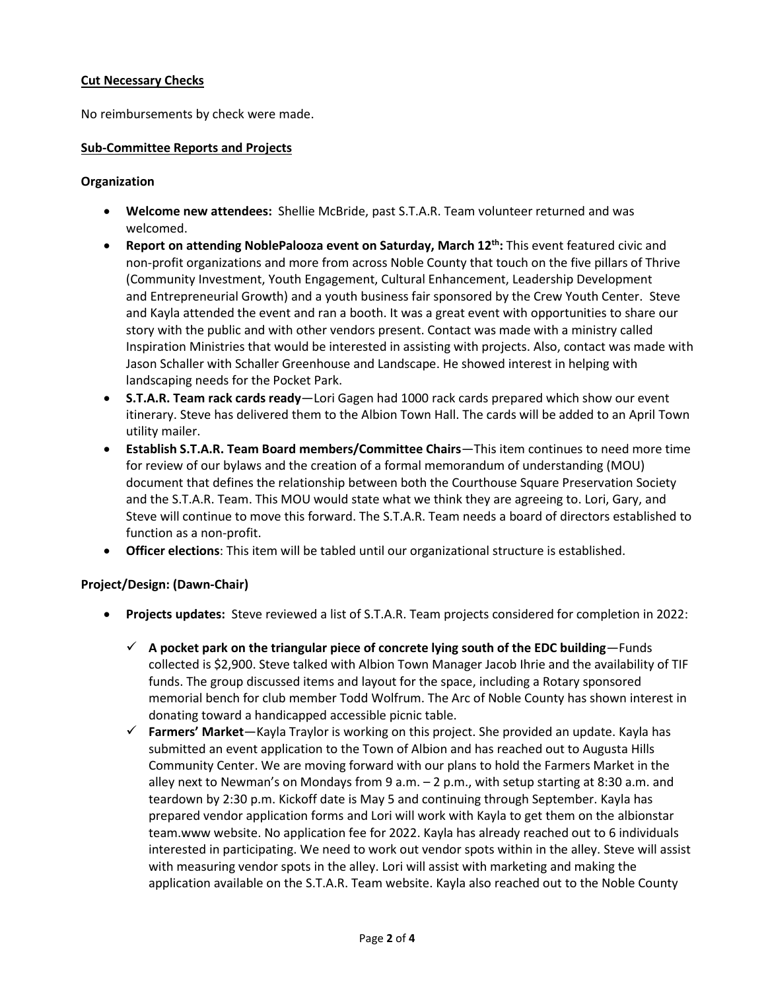# **Cut Necessary Checks**

No reimbursements by check were made.

#### **Sub-Committee Reports and Projects**

#### **Organization**

- **Welcome new attendees:** Shellie McBride, past S.T.A.R. Team volunteer returned and was welcomed.
- **Report on attending NoblePalooza event on Saturday, March 12th:** This event featured civic and non-profit organizations and more from across Noble County that touch on the five pillars of Thrive [\(Community Investment,](https://thrivenoblecounty.org/community-investment) [Youth Engagement,](https://thrivenoblecounty.org/youth-engagement/) [Cultural Enhancement,](https://thrivenoblecounty.org/cultural-enhancement/) [Leadership Development](https://thrivenoblecounty.org/leadership-development/)  [and](https://thrivenoblecounty.org/leadership-development/) [Entrepreneurial Growth\)](https://thrivenoblecounty.org/entrepreneurial-growth/) and a youth business fair sponsored by the Crew Youth Center. Steve and Kayla attended the event and ran a booth. It was a great event with opportunities to share our story with the public and with other vendors present. Contact was made with a ministry called Inspiration Ministries that would be interested in assisting with projects. Also, contact was made with Jason Schaller with Schaller Greenhouse and Landscape. He showed interest in helping with landscaping needs for the Pocket Park.
- **S.T.A.R. Team rack cards ready**—Lori Gagen had 1000 rack cards prepared which show our event itinerary. Steve has delivered them to the Albion Town Hall. The cards will be added to an April Town utility mailer.
- **Establish S.T.A.R. Team Board members/Committee Chairs**—This item continues to need more time for review of our bylaws and the creation of a formal memorandum of understanding (MOU) document that defines the relationship between both the Courthouse Square Preservation Society and the S.T.A.R. Team. This MOU would state what we think they are agreeing to. Lori, Gary, and Steve will continue to move this forward. The S.T.A.R. Team needs a board of directors established to function as a non-profit.
- **Officer elections**: This item will be tabled until our organizational structure is established.

# **Project/Design: (Dawn-Chair)**

- **Projects updates:** Steve reviewed a list of S.T.A.R. Team projects considered for completion in 2022:
	- $\checkmark$  A pocket park on the triangular piece of concrete lying south of the EDC building—Funds collected is \$2,900. Steve talked with Albion Town Manager Jacob Ihrie and the availability of TIF funds. The group discussed items and layout for the space, including a Rotary sponsored memorial bench for club member Todd Wolfrum. The Arc of Noble County has shown interest in donating toward a handicapped accessible picnic table.
	- ✓ **Farmers' Market**—Kayla Traylor is working on this project. She provided an update. Kayla has submitted an event application to the Town of Albion and has reached out to Augusta Hills Community Center. We are moving forward with our plans to hold the Farmers Market in the alley next to Newman's on Mondays from 9 a.m. – 2 p.m., with setup starting at 8:30 a.m. and teardown by 2:30 p.m. Kickoff date is May 5 and continuing through September. Kayla has prepared vendor application forms and Lori will work with Kayla to get them on the albionstar team.www website. No application fee for 2022. Kayla has already reached out to 6 individuals interested in participating. We need to work out vendor spots within in the alley. Steve will assist with measuring vendor spots in the alley. Lori will assist with marketing and making the application available on the S.T.A.R. Team website. Kayla also reached out to the Noble County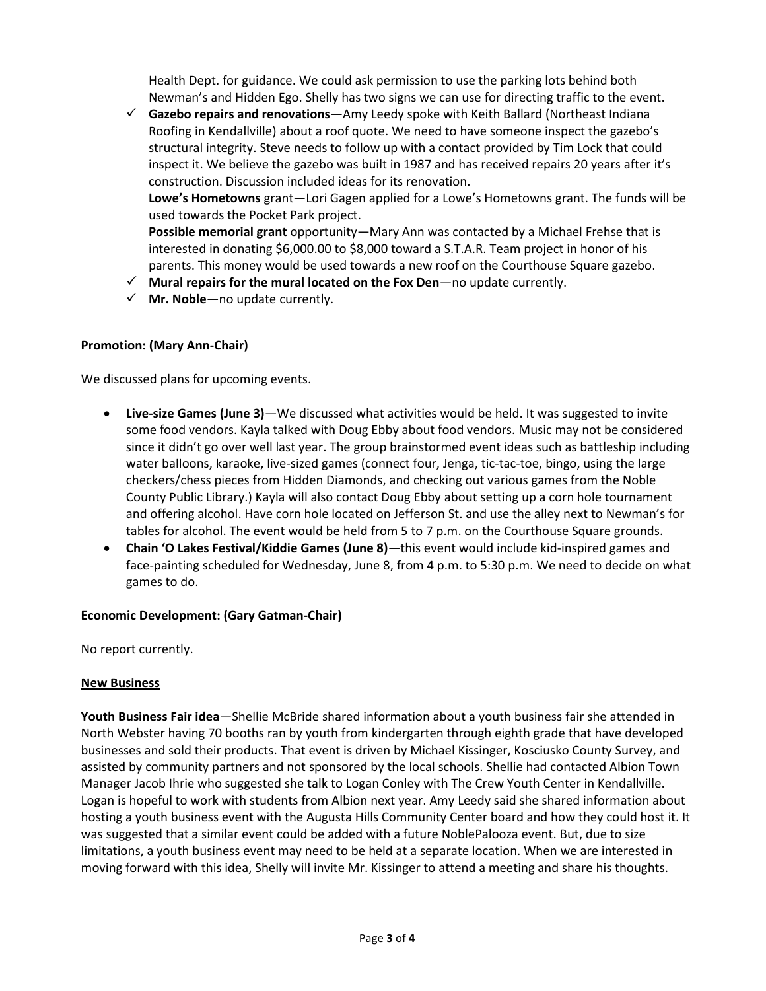Health Dept. for guidance. We could ask permission to use the parking lots behind both Newman's and Hidden Ego. Shelly has two signs we can use for directing traffic to the event.

✓ **Gazebo repairs and renovations**—Amy Leedy spoke with Keith Ballard (Northeast Indiana Roofing in Kendallville) about a roof quote. We need to have someone inspect the gazebo's structural integrity. Steve needs to follow up with a contact provided by Tim Lock that could inspect it. We believe the gazebo was built in 1987 and has received repairs 20 years after it's construction. Discussion included ideas for its renovation.

**Lowe's Hometowns** grant—Lori Gagen applied for a Lowe's Hometowns grant. The funds will be used towards the Pocket Park project.

**Possible memorial grant** opportunity—Mary Ann was contacted by a Michael Frehse that is interested in donating \$6,000.00 to \$8,000 toward a S.T.A.R. Team project in honor of his parents. This money would be used towards a new roof on the Courthouse Square gazebo.

- ✓ **Mural repairs for the mural located on the Fox Den**—no update currently.
- $\checkmark$  **Mr. Noble**—no update currently.

# **Promotion: (Mary Ann-Chair)**

We discussed plans for upcoming events.

- **Live-size Games (June 3)**—We discussed what activities would be held. It was suggested to invite some food vendors. Kayla talked with Doug Ebby about food vendors. Music may not be considered since it didn't go over well last year. The group brainstormed event ideas such as battleship including water balloons, karaoke, live-sized games (connect four, Jenga, tic-tac-toe, bingo, using the large checkers/chess pieces from Hidden Diamonds, and checking out various games from the Noble County Public Library.) Kayla will also contact Doug Ebby about setting up a corn hole tournament and offering alcohol. Have corn hole located on Jefferson St. and use the alley next to Newman's for tables for alcohol. The event would be held from 5 to 7 p.m. on the Courthouse Square grounds.
- **Chain 'O Lakes Festival/Kiddie Games (June 8)**—this event would include kid-inspired games and face-painting scheduled for Wednesday, June 8, from 4 p.m. to 5:30 p.m. We need to decide on what games to do.

# **Economic Development: (Gary Gatman-Chair)**

No report currently.

# **New Business**

**Youth Business Fair idea**—Shellie McBride shared information about a youth business fair she attended in North Webster having 70 booths ran by youth from kindergarten through eighth grade that have developed businesses and sold their products. That event is driven by Michael Kissinger, Kosciusko County Survey, and assisted by community partners and not sponsored by the local schools. Shellie had contacted Albion Town Manager Jacob Ihrie who suggested she talk to Logan Conley with The Crew Youth Center in Kendallville. Logan is hopeful to work with students from Albion next year. Amy Leedy said she shared information about hosting a youth business event with the Augusta Hills Community Center board and how they could host it. It was suggested that a similar event could be added with a future NoblePalooza event. But, due to size limitations, a youth business event may need to be held at a separate location. When we are interested in moving forward with this idea, Shelly will invite Mr. Kissinger to attend a meeting and share his thoughts.